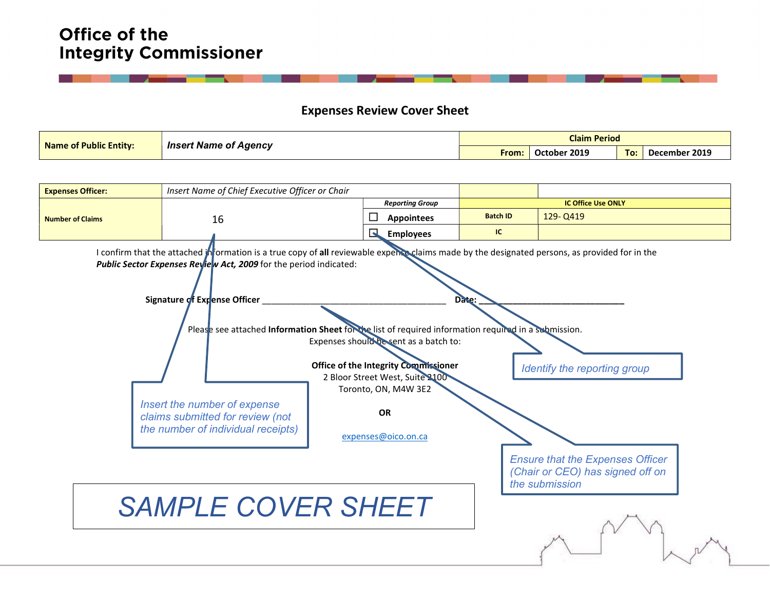# Office of the **Integrity Commissioner**

#### Expenses Review Cover Sheet

| <b>Name of Public Entity:</b> | <b>Insert Name of Agency</b> | <b>Claim Period</b> |                         |     |                    |  |  |
|-------------------------------|------------------------------|---------------------|-------------------------|-----|--------------------|--|--|
|                               |                              | From:               | 12019<br><b>October</b> | To: | 2019<br>December : |  |  |

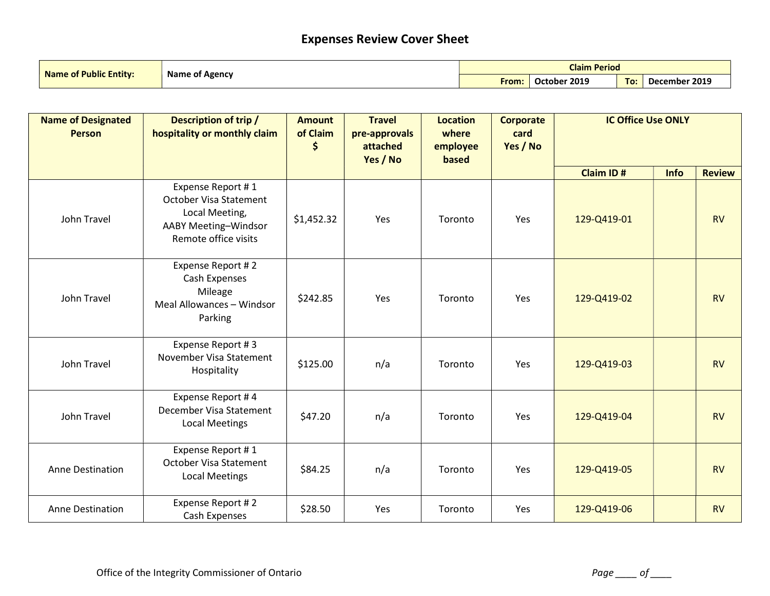## Expenses Review Cover Sheet

| <b>Name of Public Entity:</b> | <b>Name of Agency</b> | <b>Claim Period</b> |              |     |               |  |
|-------------------------------|-----------------------|---------------------|--------------|-----|---------------|--|
|                               |                       | From:               | October 2019 | To: | December 2019 |  |

| <b>Name of Designated</b><br><b>Person</b> | <b>Description of trip /</b><br>hospitality or monthly claim                                                         | <b>Amount</b><br>of Claim<br>\$ | <b>Travel</b><br>pre-approvals<br>attached<br>Yes / No | <b>Location</b><br>where<br>employee<br>based | <b>Corporate</b><br>card<br>Yes / No | <b>IC Office Use ONLY</b> |      |               |
|--------------------------------------------|----------------------------------------------------------------------------------------------------------------------|---------------------------------|--------------------------------------------------------|-----------------------------------------------|--------------------------------------|---------------------------|------|---------------|
|                                            |                                                                                                                      |                                 |                                                        |                                               |                                      | Claim ID#                 | Info | <b>Review</b> |
| John Travel                                | Expense Report #1<br><b>October Visa Statement</b><br>Local Meeting,<br>AABY Meeting-Windsor<br>Remote office visits | \$1,452.32                      | Yes                                                    | Toronto                                       | Yes                                  | 129-Q419-01               |      | <b>RV</b>     |
| John Travel                                | Expense Report #2<br>Cash Expenses<br>Mileage<br>Meal Allowances - Windsor<br>Parking                                | \$242.85                        | Yes                                                    | Toronto                                       | <b>Yes</b>                           | 129-Q419-02               |      | <b>RV</b>     |
| John Travel                                | Expense Report #3<br>November Visa Statement<br>Hospitality                                                          | \$125.00                        | n/a                                                    | Toronto                                       | Yes                                  | 129-Q419-03               |      | <b>RV</b>     |
| John Travel                                | Expense Report #4<br>December Visa Statement<br><b>Local Meetings</b>                                                | \$47.20                         | n/a                                                    | Toronto                                       | Yes                                  | 129-Q419-04               |      | <b>RV</b>     |
| <b>Anne Destination</b>                    | Expense Report #1<br><b>October Visa Statement</b><br><b>Local Meetings</b>                                          | \$84.25                         | n/a                                                    | Toronto                                       | Yes                                  | 129-Q419-05               |      | <b>RV</b>     |
| Anne Destination                           | Expense Report #2<br>Cash Expenses                                                                                   | \$28.50                         | Yes                                                    | Toronto                                       | Yes                                  | 129-Q419-06               |      | <b>RV</b>     |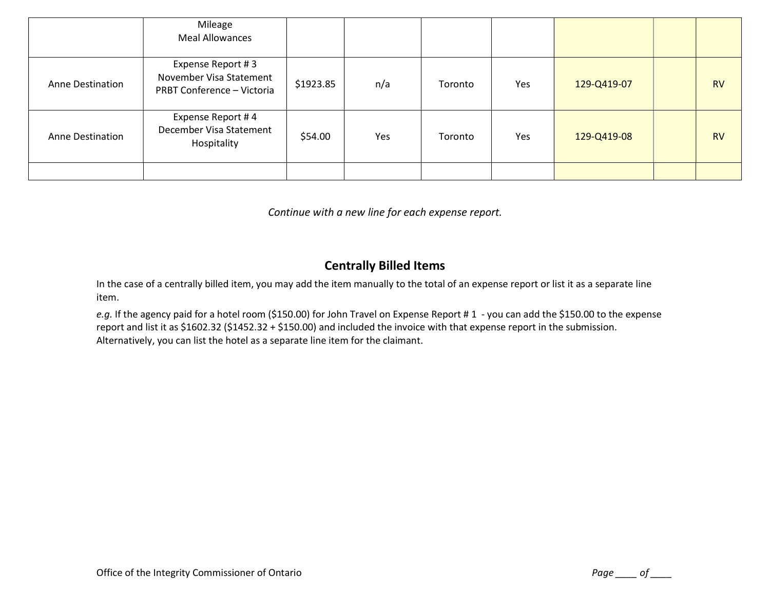|                         | Mileage<br><b>Meal Allowances</b>                                          |           |     |         |     |             |           |
|-------------------------|----------------------------------------------------------------------------|-----------|-----|---------|-----|-------------|-----------|
| <b>Anne Destination</b> | Expense Report #3<br>November Visa Statement<br>PRBT Conference - Victoria | \$1923.85 | n/a | Toronto | Yes | 129-Q419-07 | <b>RV</b> |
| <b>Anne Destination</b> | Expense Report #4<br>December Visa Statement<br>Hospitality                | \$54.00   | Yes | Toronto | Yes | 129-Q419-08 | <b>RV</b> |
|                         |                                                                            |           |     |         |     |             |           |

Continue with a new line for each expense report.

### Centrally Billed Items

In the case of a centrally billed item, you may add the item manually to the total of an expense report or list it as a separate line item.

e.g. If the agency paid for a hotel room (\$150.00) for John Travel on Expense Report #1 - you can add the \$150.00 to the expense report and list it as \$1602.32 (\$1452.32 + \$150.00) and included the invoice with that expense report in the submission. Alternatively, you can list the hotel as a separate line item for the claimant.